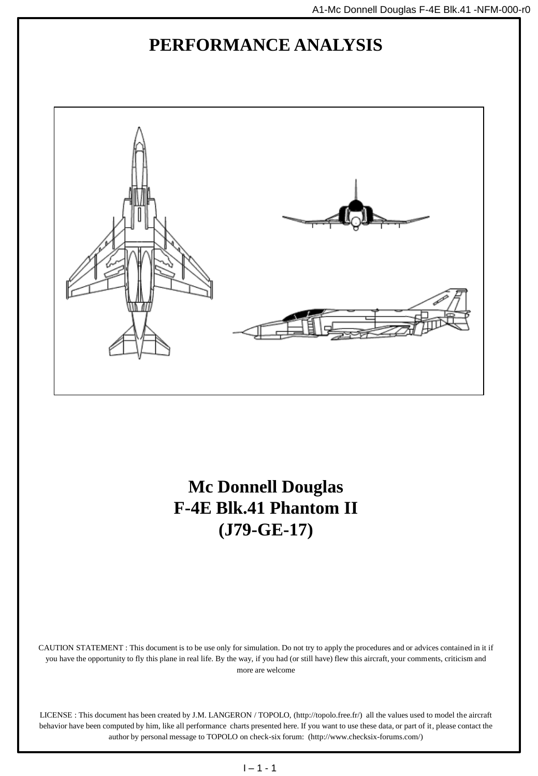## **PERFORMANCE ANALYSIS**



**Mc Donnell Douglas F-4E Blk.41 Phantom II (J79-GE-17)**

CAUTION STATEMENT : This document is to be use only for simulation. Do not try to apply the procedures and or advices contained in it if you have the opportunity to fly this plane in real life. By the way, if you had (or still have) flew this aircraft, your comments, criticism and more are welcome

LICENSE : This document has been created by J.M. LANGERON / TOPOLO, (http://topolo.free.fr/) all the values used to model the aircraft behavior have been computed by him, like all performance charts presented here. If you want to use these data, or part of it, please contact the author by personal message to TOPOLO on check-six forum: (http://www.checksix-forums.com/)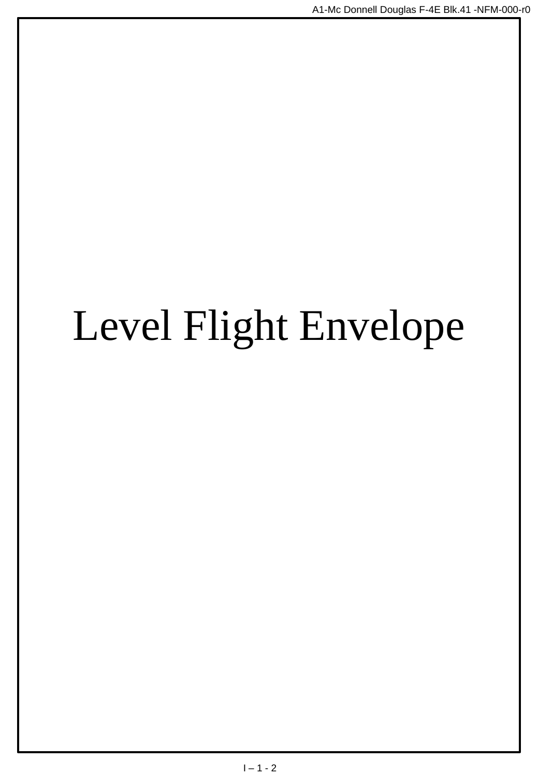# Level Flight Envelope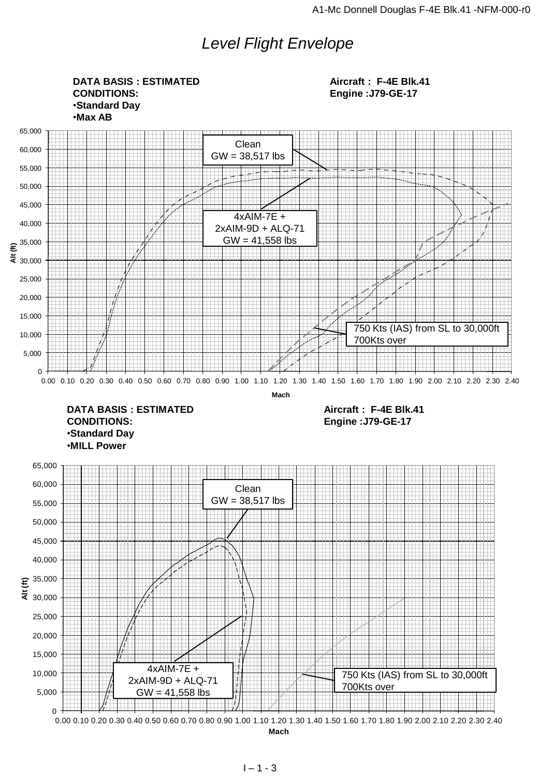## *Level Flight Envelope*

0 5,000 10,000 15,000 20,000 25,000 30,000 35,000 40,000 45,000 50,000 55,000 60,000 65,000  $\frac{25,000}{25,000}$ <br>  $\frac{25,000}{20,000}$ <br>  $\frac{4 \times \text{AlM} \cdot 7\text{E} + \text{Al} \cdot \text{Al} \cdot \text{Al}}{2 \times \text{AlM} \cdot 9\text{D} + \text{Al} \cdot \text{L} \cdot 7\text{}}$ <br>  $\frac{4 \times \text{AlM} \cdot 7\text{E} + \text{Al} \cdot \text{Al} \cdot \text{Al}}{600}$ <br>  $\frac{4 \times \text{AlM} \cdot 7\text{E} + \text{Al} \cdot \text{Al} \cdot \text{Al}}{6$ **Mach** 0 5,000 10,000 15,000 20,000 25,000 30,000  $\epsilon^{35,000}$ 40,000 45,000 50,000 55,000 60,000 65,000 € 9.000<br>
20.000<br>
20.000<br>
0.00 0.10 0.20 0.30 0.40 0.50 0.60 0.70 0.80 0.90 1.10 1.20 1.30 1.40 1.50 1.60 1.70 1.80 1.90 2.00 2.10 2.20 2.30 2.40<br>
5.000<br>
0.00 0.10 0.20 0.30 0.40 0.50 0.50 0.60 0.70 0.80 0.90 1.00 1.10 1. **Mach DATA BASIS : ESTIMATED CONDITIONS:** •**Standard Day** •**Max AB Aircraft : F-4E Blk.41 Engine :J79-GE-17 DATA BASIS : ESTIMATED CONDITIONS:** •**Standard Day** •**MILL Power Aircraft : F-4E Blk.41 Engine :J79-GE-17** Clean  $GW = 38,517$  lbs 4xAIM-7E + 2xAIM-9D + ALQ-71 GW = 41,558 lbs 750 Kts (IAS) from SL to 30,000ft 700Kts over Clean  $GW = 38,517$  lbs 4xAIM-7E + 2xAIM-9D + ALQ-71  $GW = 41,558$  lbs 750 Kts (IAS) from SL to 30,000ft 700Kts over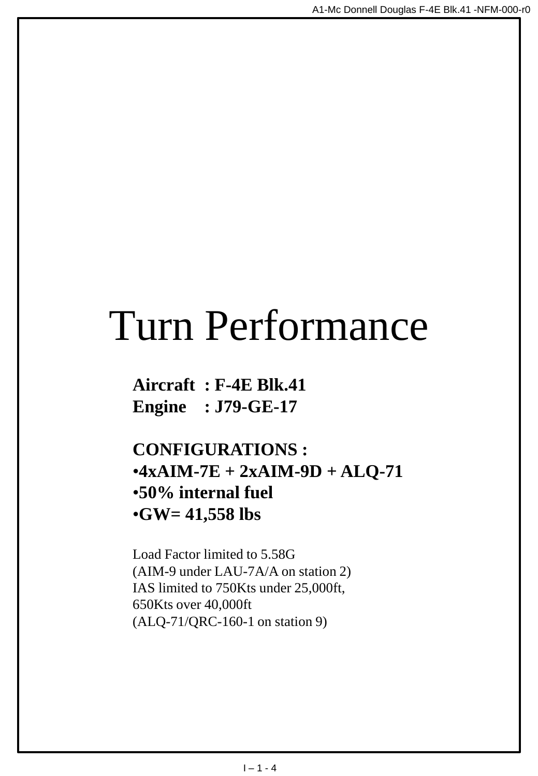## Turn Performance

**Aircraft : F-4E Blk.41 Engine : J79-GE-17**

**CONFIGURATIONS :** •**4xAIM-7E + 2xAIM-9D + ALQ-71** •**50% internal fuel** •**GW= 41,558 lbs**

Load Factor limited to 5.58G (AIM-9 under LAU-7A/A on station 2) IAS limited to 750Kts under 25,000ft, 650Kts over 40,000ft (ALQ-71/QRC-160-1 on station 9)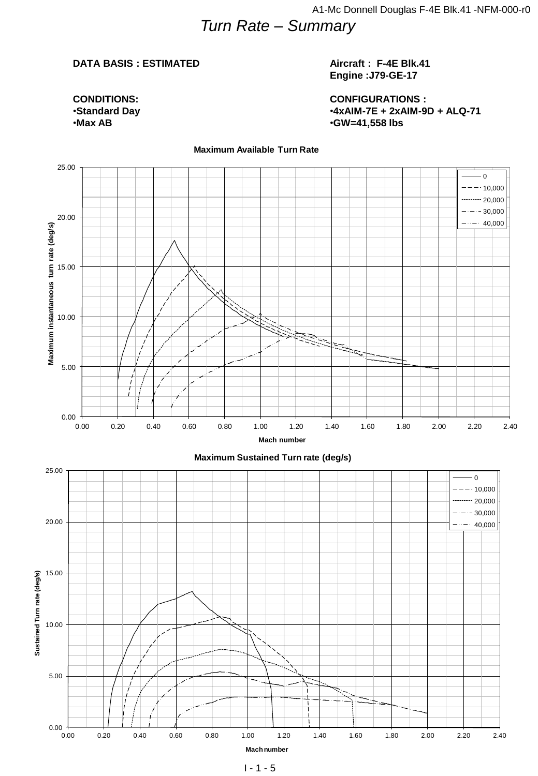## *Turn Rate – Summary*

#### **DATA BASIS : ESTIMATED**

**CONDITIONS:** •**Standard Day** •**Max AB**

#### **Aircraft : F-4E Blk.41 Engine :J79-GE-17**

**CONFIGURATIONS :** •**4xAIM-7E + 2xAIM-9D + ALQ-71** •**GW=41,558 lbs**

 $^{+0.00}_{0.00}$ 5.00 10.00 15.00 20.00 25.00 0.00 0.20 0.40 0.60 0.80 1.00 1.20 1.40 1.60 2.00 2.20 2.40<br>
0.00 0.00 0.20 0.40 0.60 0.80 1.00 1.20 1.40 1.60 1.60 2.00 2.20 2.40<br>
0.00 0.00 0.20 0.40 0.60 0.80 1.00 1.20 1.40 1.60 1.60 2.00 2.20 2.40 **Mach number** 0  $-10,000$  $\cdots$  20,000  $30,000$  $- - - 40,000$  $\frac{1}{0.00}$ 5.00 10.00 15.00 20.00 25.00 0.00 0.00 0.20 0.40 0.60 0.80 1.00 1.20 1.40 1.60 1.80 2.00 2.20 2.40 **Sustainable Control Control Control Control Control Control Control Control Control Control Control Control Control Control Control Control Control Con Mach number Maximum Sustained Turn rate (deg/s)** 0  $-10,000$  $-20,000$  $-30,000$  $-40,000$ 

#### **Maximum Available Turn Rate**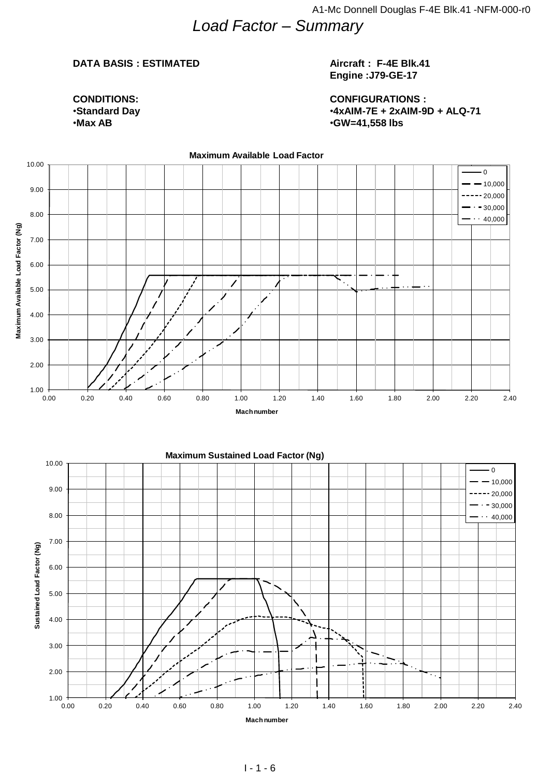## *Load Factor – Summary*

#### **DATA BASIS : ESTIMATED**

**CONDITIONS:** •**Standard Day** •**Max AB**

#### **Aircraft : F-4E Blk.41 Engine :J79-GE-17**

**CONFIGURATIONS :** •**4xAIM-7E + 2xAIM-9D + ALQ-71** •**GW=41,558 lbs**

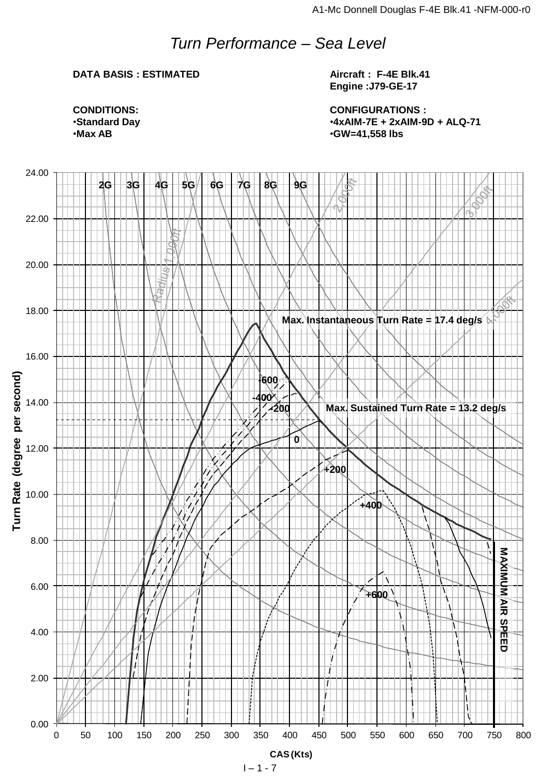## *Turn Performance – Sea Level*

## **DATA BASIS : ESTIMATED**

**Aircraft : F-4E Blk.41 Engine :J79-GE-17**

**CONFIGURATIONS :** •**4xAIM-7E + 2xAIM-9D + ALQ-71** •**GW=41,558 lbs**

**CONDITIONS:** •**Standard Day** •**Max AB**

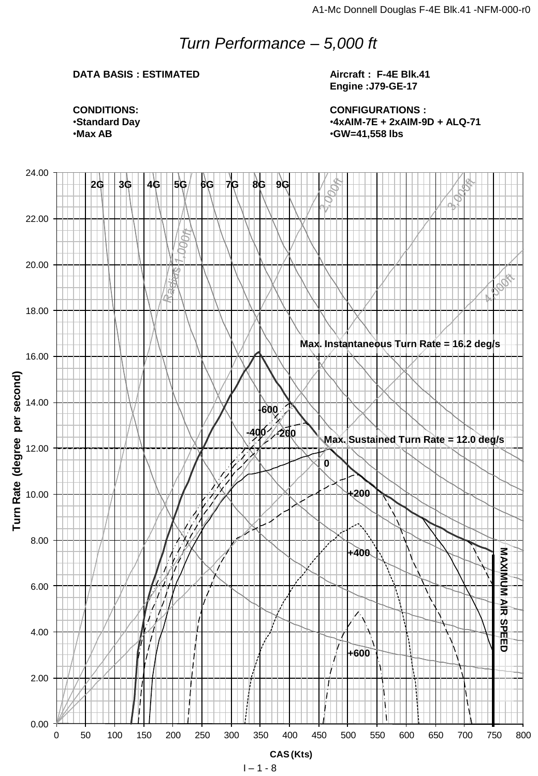## *Turn Performance – 5,000 ft*

#### **DATA BASIS : ESTIMATED**

**Aircraft : F-4E Blk.41 Engine :J79-GE-17**

**CONFIGURATIONS :** •**4xAIM-7E + 2xAIM-9D + ALQ-71** •**GW=41,558 lbs**

**CONDITIONS:** •**Standard Day** •**Max AB**

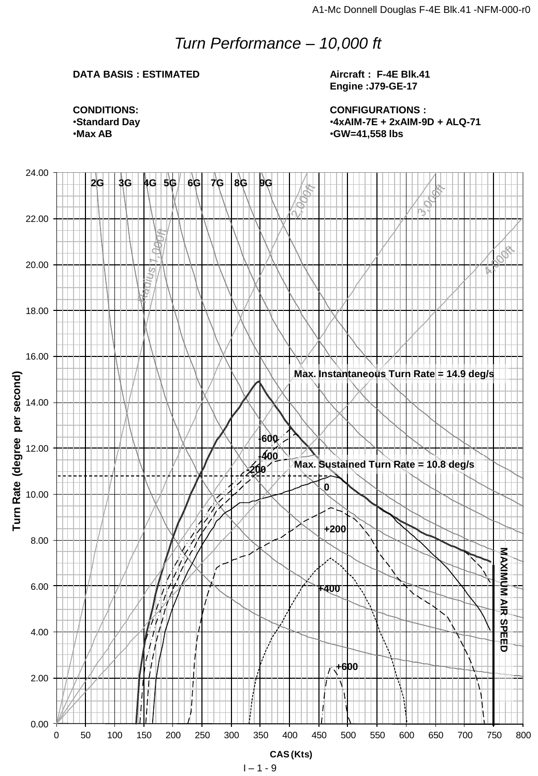## *Turn Performance – 10,000 ft*

## **DATA BASIS : ESTIMATED**

**Aircraft : F-4E Blk.41 Engine :J79-GE-17**

**CONFIGURATIONS :** •**4xAIM-7E + 2xAIM-9D + ALQ-71** •**GW=41,558 lbs**

**CONDITIONS:** •**Standard Day** •**Max AB**

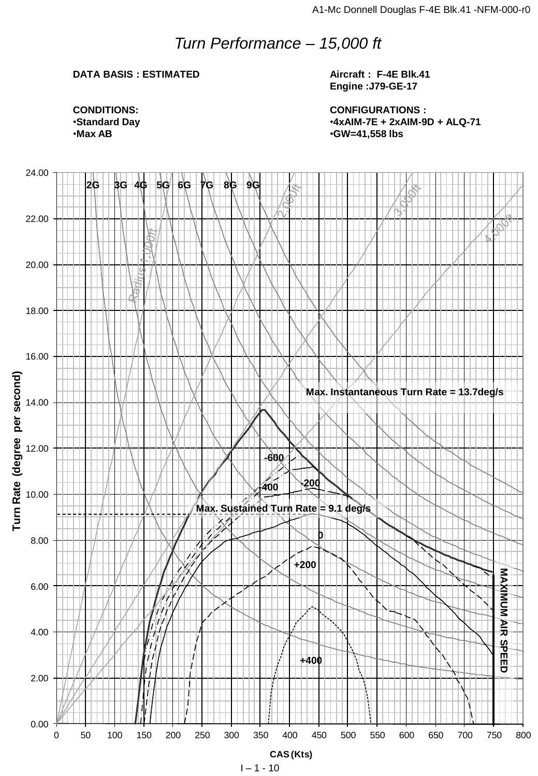## *Turn Performance – 15,000 ft*

## **DATA BASIS : ESTIMATED**

**Aircraft : F-4E Blk.41 Engine :J79-GE-17**

**CONFIGURATIONS :** •**4xAIM-7E + 2xAIM-9D + ALQ-71** •**GW=41,558 lbs**



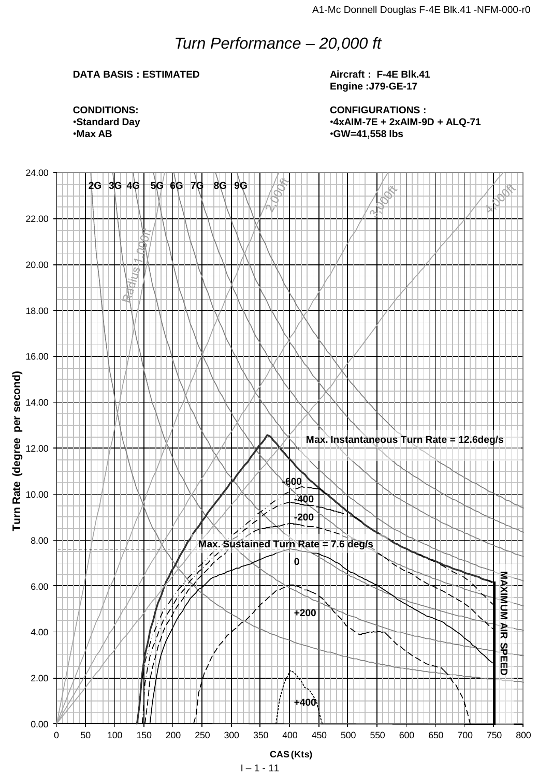## *Turn Performance – 20,000 ft*

## **DATA BASIS : ESTIMATED**

**Aircraft : F-4E Blk.41 Engine :J79-GE-17**

**CONFIGURATIONS :** •**4xAIM-7E + 2xAIM-9D + ALQ-71** •**GW=41,558 lbs**

**CONDITIONS:** •**Standard Day** •**Max AB**

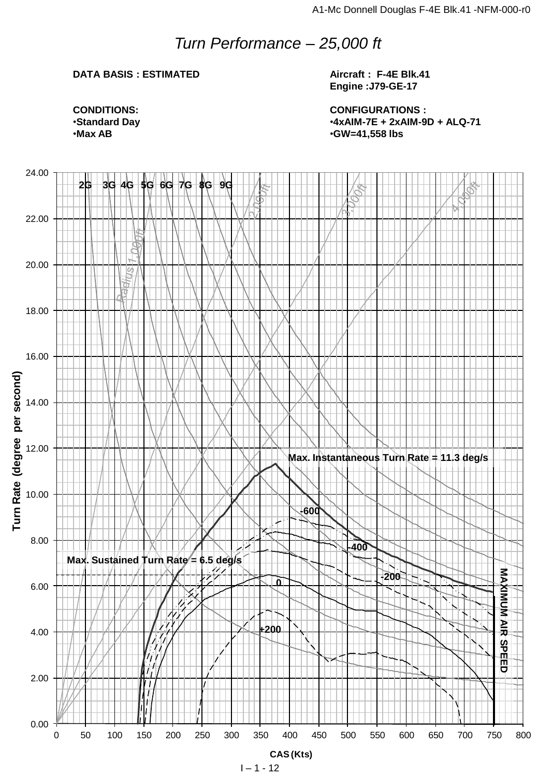## *Turn Performance – 25,000 ft*

## **DATA BASIS : ESTIMATED**

**Aircraft : F-4E Blk.41 Engine :J79-GE-17**

**CONFIGURATIONS :** •**4xAIM-7E + 2xAIM-9D + ALQ-71** •**GW=41,558 lbs**

**CONDITIONS:** •**Standard Day** •**Max AB**

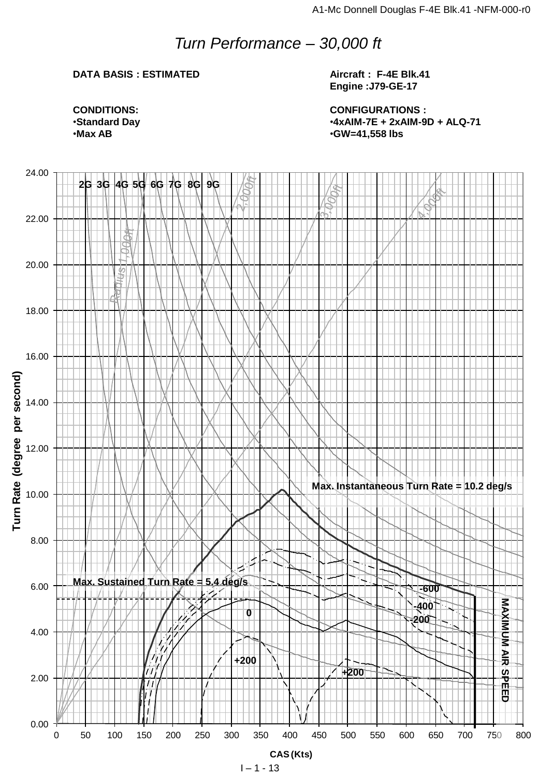## *Turn Performance – 30,000 ft*

## **DATA BASIS : ESTIMATED**

**Aircraft : F-4E Blk.41 Engine :J79-GE-17**

**CONFIGURATIONS :** •**4xAIM-7E + 2xAIM-9D + ALQ-71** •**GW=41,558 lbs**

**CONDITIONS:** •**Standard Day** •**Max AB**

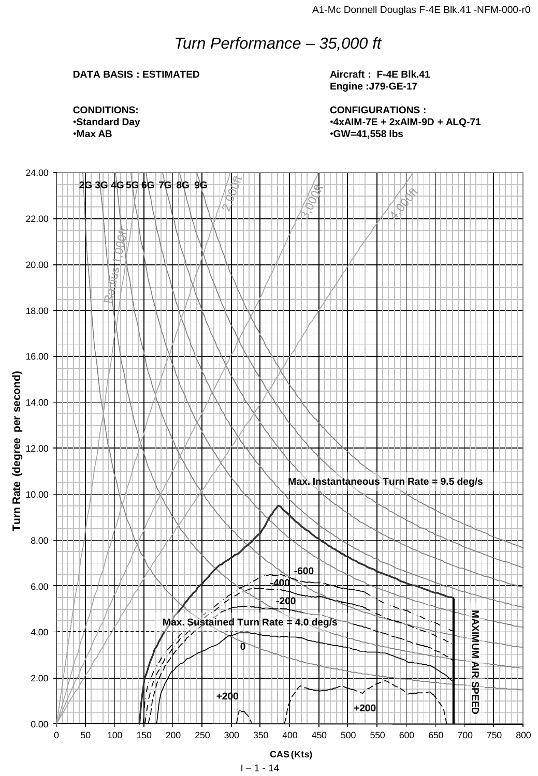## *Turn Performance – 35,000 ft*

## **DATA BASIS : ESTIMATED**

**Aircraft : F-4E Blk.41 Engine :J79-GE-17**

**CONFIGURATIONS :** •**4xAIM-7E + 2xAIM-9D + ALQ-71** •**GW=41,558 lbs**

**CONDITIONS:** •**Standard Day** •**Max AB**

![](_page_13_Figure_6.jpeg)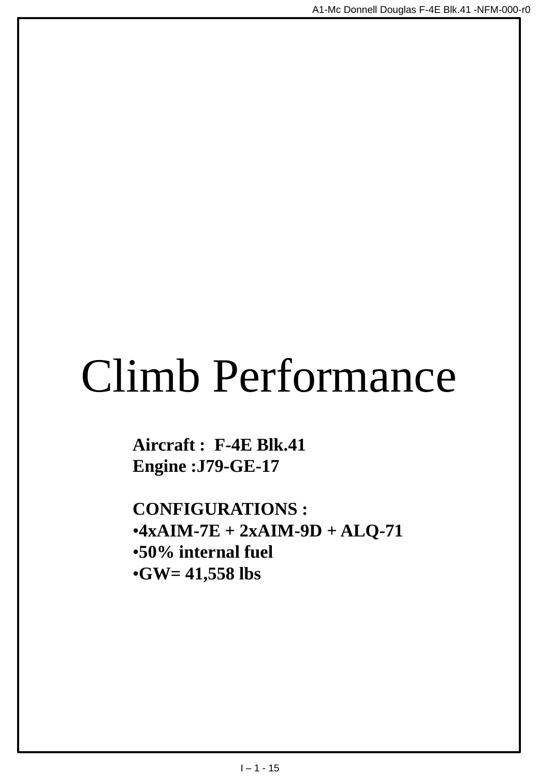# Climb Performance

**Aircraft : F-4E Blk.41 Engine :J79-GE-17**

**CONFIGURATIONS :**  $•4xAIM-7E + 2xAIM-9D + ALO-71$ •**50% internal fuel** •**GW= 41,558 lbs**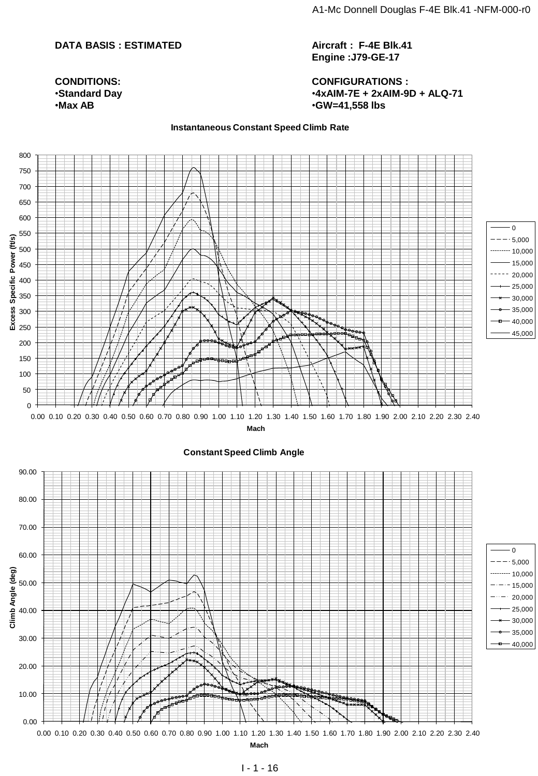#### **DATA BASIS : ESTIMATED**

**CONDITIONS:** •**Standard Day** •**Max AB**

**Aircraft : F-4E Blk.41 Engine :J79-GE-17**

**CONFIGURATIONS :** •**4xAIM-7E + 2xAIM-9D + ALQ-71** •**GW=41,558 lbs**

#### **Instantaneous Constant Speed Climb Rate**

![](_page_15_Figure_6.jpeg)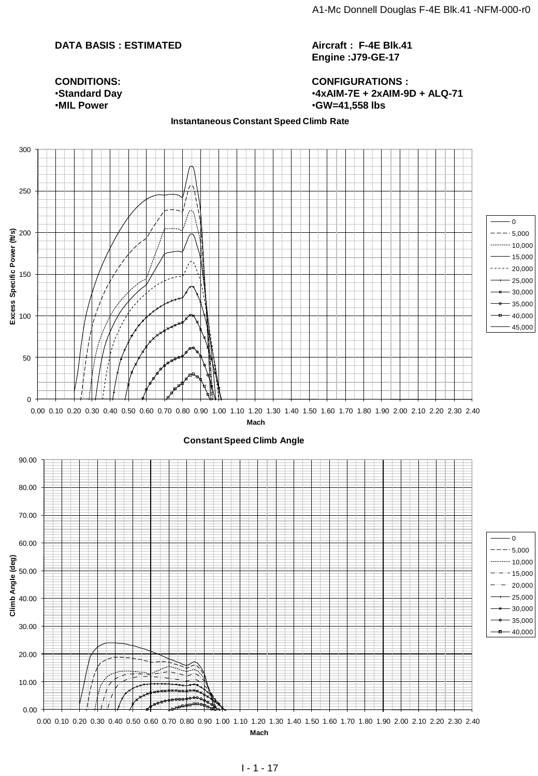#### **DATA BASIS : ESTIMATED**

**Aircraft : F-4E Blk.41 Engine :J79-GE-17**

**CONFIGURATIONS :** •**4xAIM-7E + 2xAIM-9D + ALQ-71** •**GW=41,558 lbs**

#### **CONDITIONS:** •**Standard Day** •**MIL Power**

#### **Instantaneous Constant Speed Climb Rate**

![](_page_16_Figure_6.jpeg)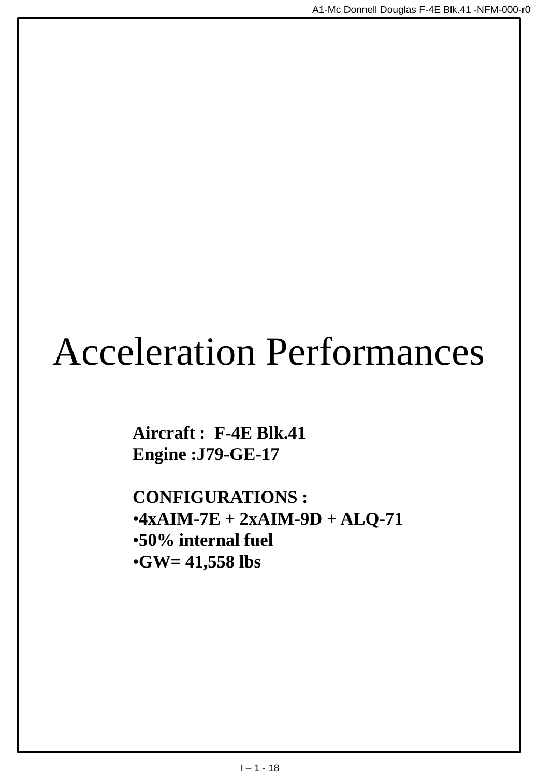## Acceleration Performances

**Aircraft : F-4E Blk.41 Engine :J79-GE-17**

**CONFIGURATIONS :**  $•4xAIM-7E + 2xAIM-9D + ALO-71$ •**50% internal fuel** •**GW= 41,558 lbs**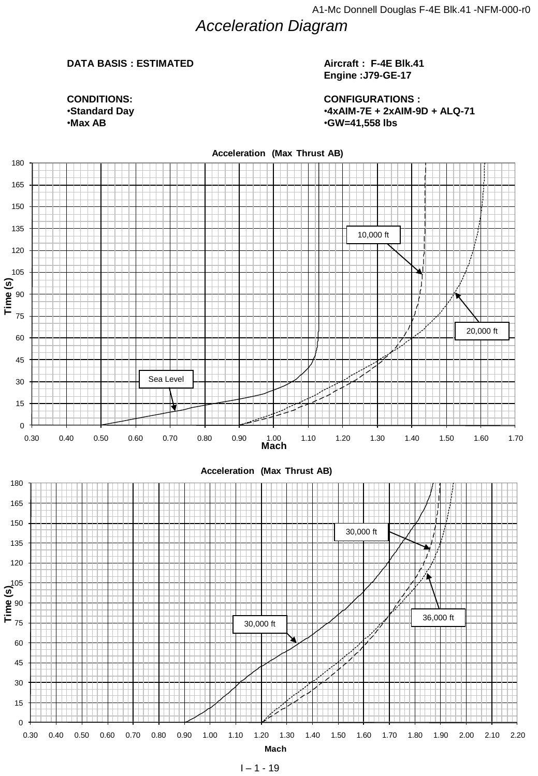## *Acceleration Diagram*

#### **DATA BASIS : ESTIMATED**

 $\mathbf{max}$ 

**CONDITIONS:** •**Standard Day** •**Max AB**

#### **Aircraft : F-4E Blk.41 Engine :J79-GE-17**

**CONFIGURATIONS :** •**4xAIM-7E + 2xAIM-9D + ALQ-71** •**GW=41,558 lbs**

![](_page_18_Figure_5.jpeg)

 $1 - 1 - 19$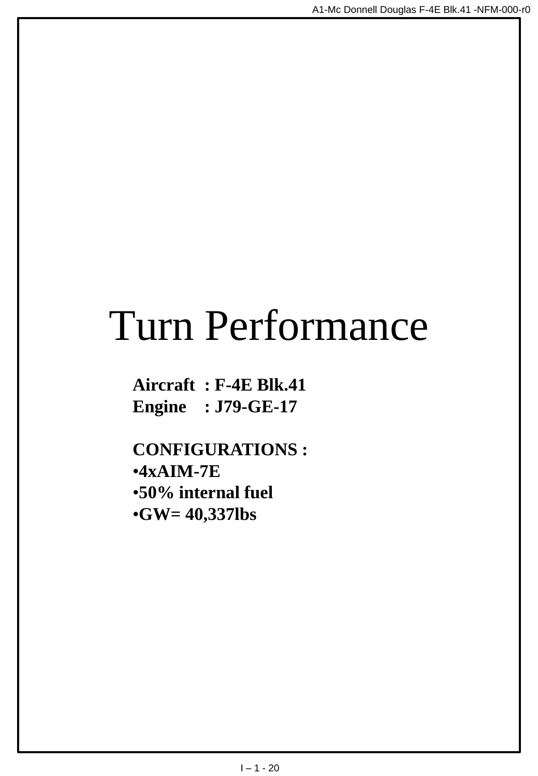## Turn Performance

**Aircraft : F-4E Blk.41 Engine : J79-GE-17**

**CONFIGURATIONS :** •**4xAIM-7E** •**50% internal fuel** •**GW= 40,337lbs**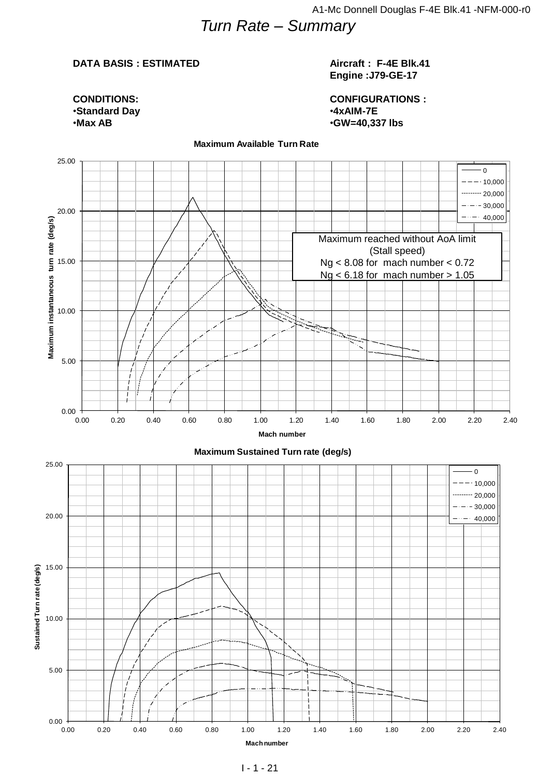## *Turn Rate – Summary*

#### **DATA BASIS : ESTIMATED**

**CONDITIONS:** •**Standard Day** •**Max AB**

#### **Aircraft : F-4E Blk.41 Engine :J79-GE-17**

**CONFIGURATIONS :** •**4xAIM-7E** •**GW=40,337 lbs**

![](_page_20_Figure_5.jpeg)

#### **Maximum Available Turn Rate**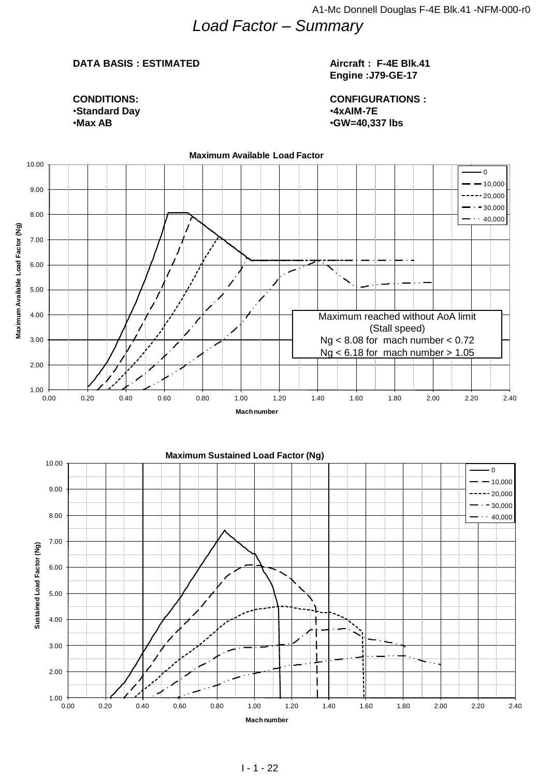## *Load Factor – Summary*

#### **DATA BASIS : ESTIMATED**

#### **Aircraft : F-4E Blk.41 Engine :J79-GE-17**

**CONDITIONS:** •**Standard Day** •**Max AB**

**CONFIGURATIONS :** •**4xAIM-7E** •**GW=40,337 lbs**

![](_page_21_Figure_6.jpeg)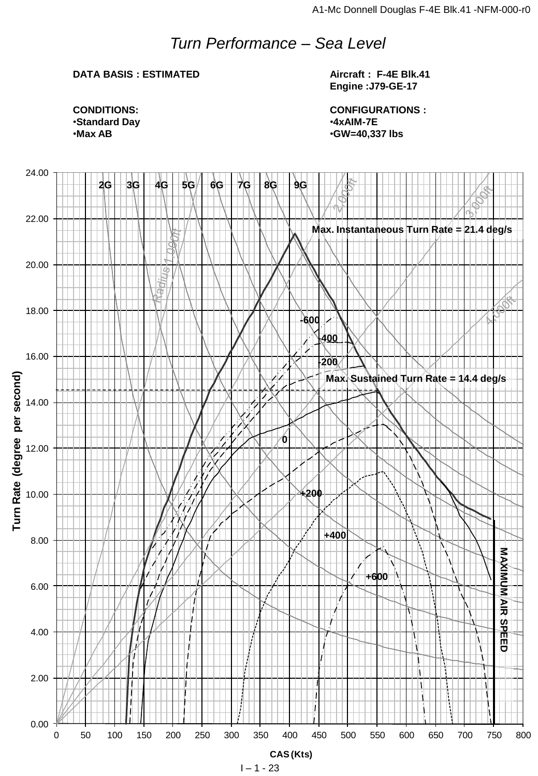## *Turn Performance – Sea Level*

## **DATA BASIS : ESTIMATED**

**Aircraft : F-4E Blk.41 Engine :J79-GE-17**

**CONFIGURATIONS :** •**4xAIM-7E** •**GW=40,337 lbs**

**CONDITIONS:** •**Standard Day** •**Max AB**

![](_page_22_Figure_6.jpeg)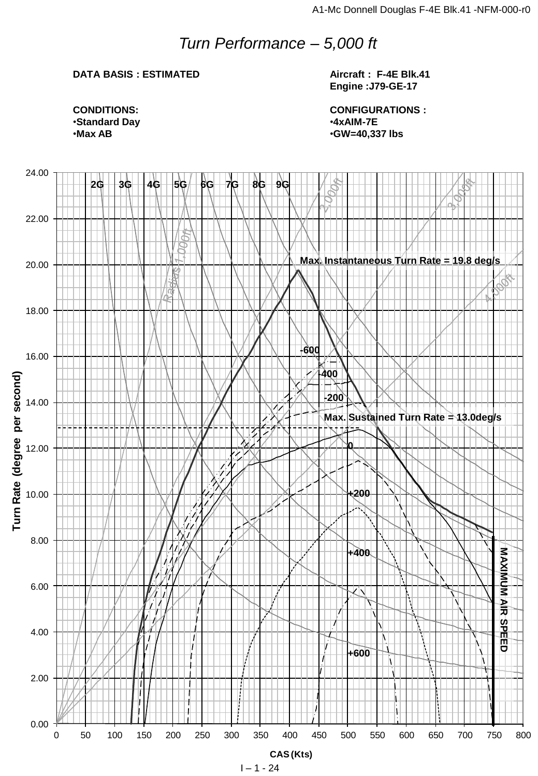## *Turn Performance – 5,000 ft*

### **DATA BASIS : ESTIMATED**

**Aircraft : F-4E Blk.41 Engine :J79-GE-17**

**CONFIGURATIONS :** •**4xAIM-7E** •**GW=40,337 lbs**

**CONDITIONS:** •**Standard Day** •**Max AB**

![](_page_23_Figure_6.jpeg)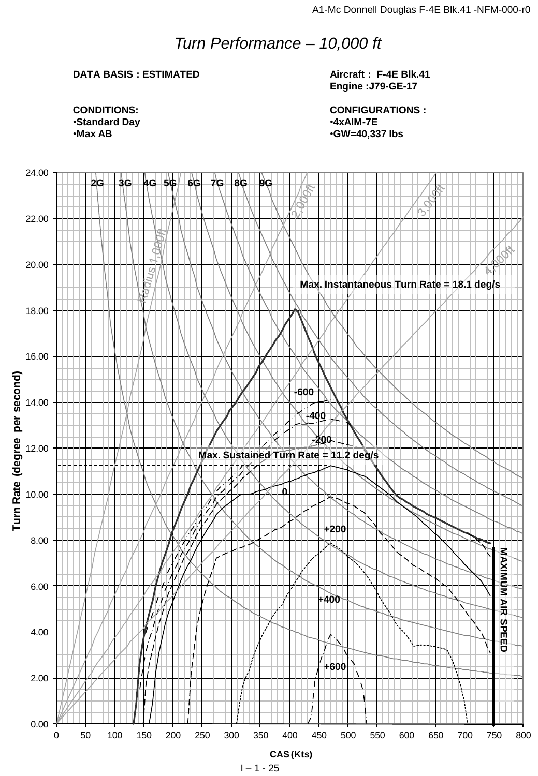## *Turn Performance – 10,000 ft*

## **DATA BASIS : ESTIMATED**

**Aircraft : F-4E Blk.41 Engine :J79-GE-17**

**CONFIGURATIONS :** •**4xAIM-7E** •**GW=40,337 lbs**

**CONDITIONS:** •**Standard Day** •**Max AB**

![](_page_24_Figure_6.jpeg)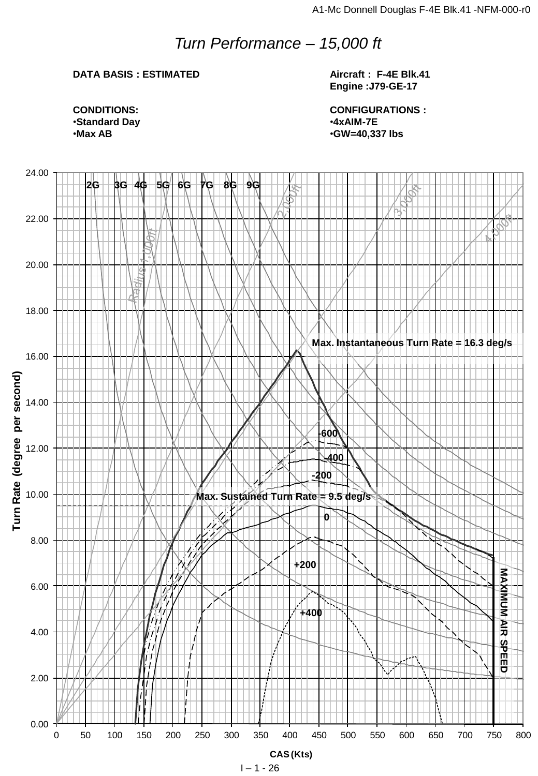## *Turn Performance – 15,000 ft*

## **DATA BASIS : ESTIMATED**

**Aircraft : F-4E Blk.41 Engine :J79-GE-17**

**CONFIGURATIONS :** •**4xAIM-7E** •**GW=40,337 lbs**

![](_page_25_Figure_5.jpeg)

![](_page_25_Figure_6.jpeg)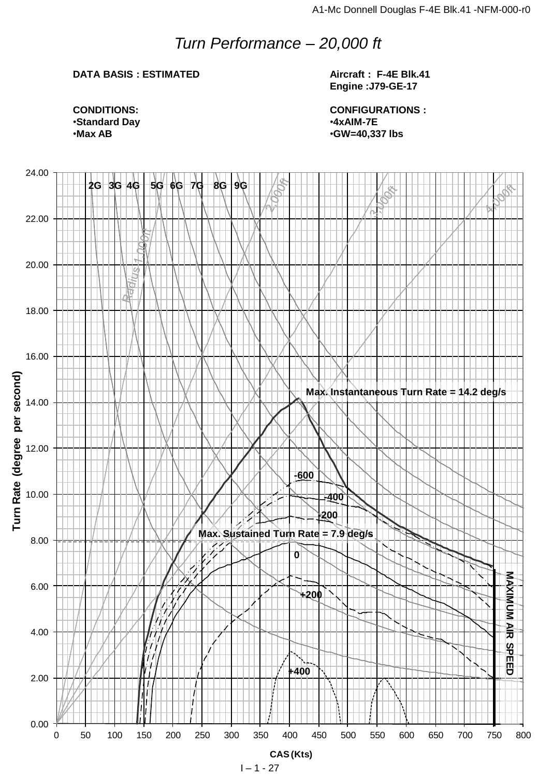## *Turn Performance – 20,000 ft*

## **DATA BASIS : ESTIMATED**

**Aircraft : F-4E Blk.41 Engine :J79-GE-17**

![](_page_26_Figure_5.jpeg)

**CONFIGURATIONS :** •**4xAIM-7E** •**GW=40,337 lbs**

![](_page_26_Figure_7.jpeg)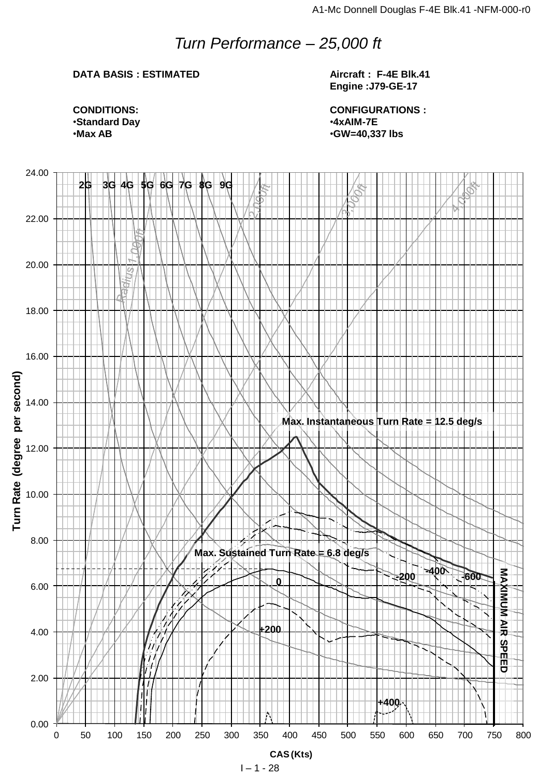## *Turn Performance – 25,000 ft*

## **DATA BASIS : ESTIMATED**

**Aircraft : F-4E Blk.41 Engine :J79-GE-17**

**CONFIGURATIONS :** •**4xAIM-7E** •**GW=40,337 lbs**

**CONDITIONS:** •**Standard Day** •**Max AB**

![](_page_27_Figure_6.jpeg)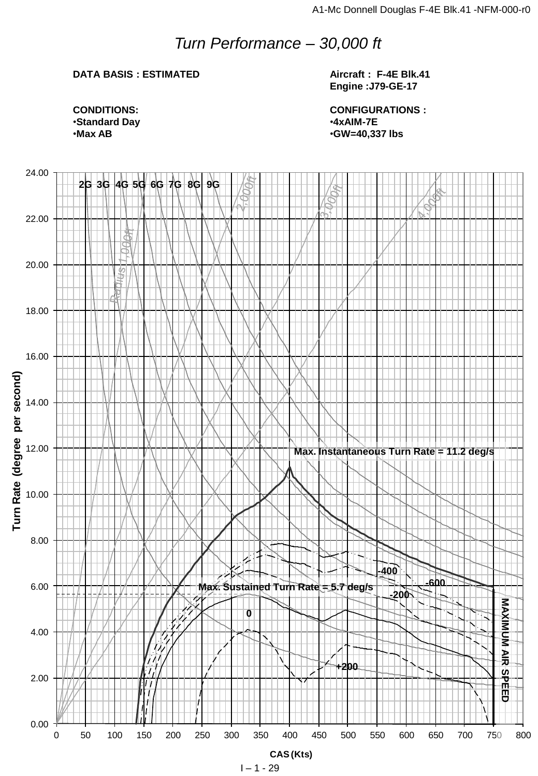## *Turn Performance – 30,000 ft*

## **DATA BASIS : ESTIMATED**

**Aircraft : F-4E Blk.41 Engine :J79-GE-17**

**CONFIGURATIONS :** •**4xAIM-7E** •**GW=40,337 lbs**

**CONDITIONS:** •**Standard Day** •**Max AB**

![](_page_28_Figure_6.jpeg)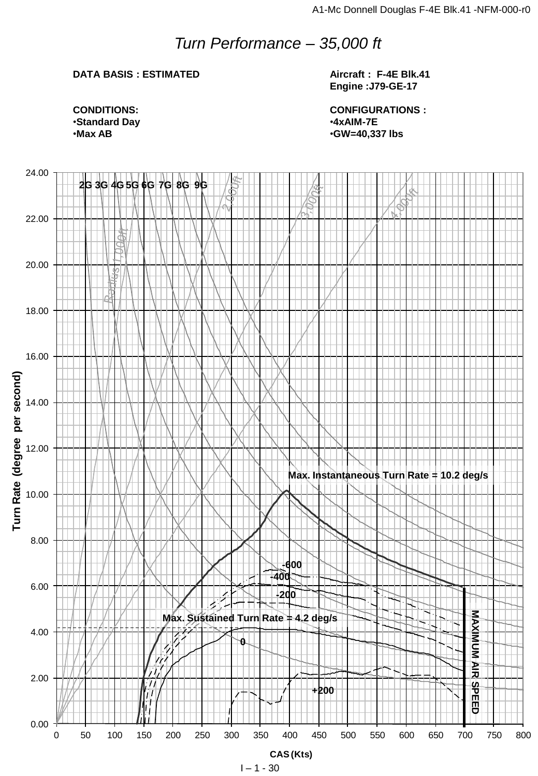## *Turn Performance – 35,000 ft*

## **DATA BASIS : ESTIMATED**

**Aircraft : F-4E Blk.41 Engine :J79-GE-17**

**CONDITIONS:** •**Standard Day** •**Max AB**

**CONFIGURATIONS :** •**4xAIM-7E** •**GW=40,337 lbs**

![](_page_29_Figure_6.jpeg)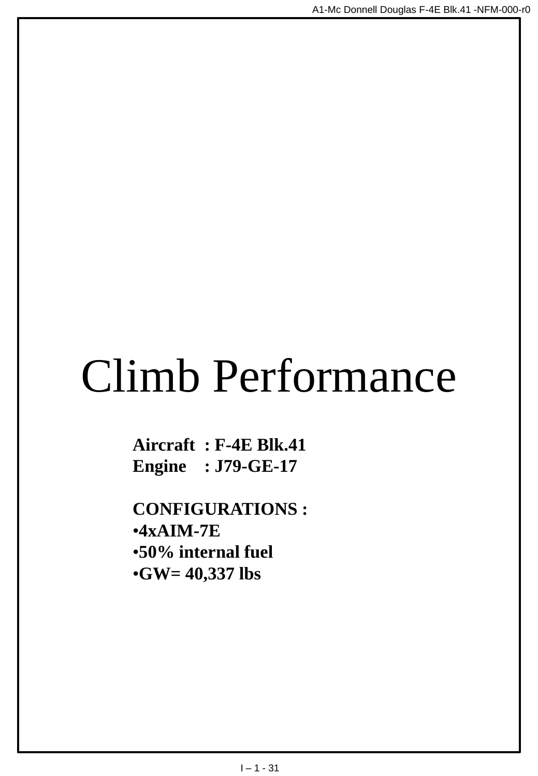# Climb Performance

**Aircraft : F-4E Blk.41 Engine : J79-GE-17**

**CONFIGURATIONS :** •**4xAIM-7E** •**50% internal fuel** •**GW= 40,337 lbs**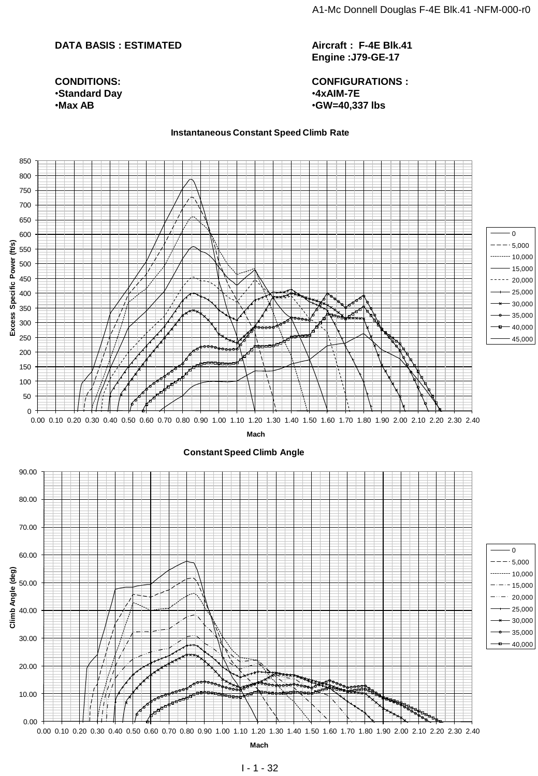#### **DATA BASIS : ESTIMATED**

**CONDITIONS:** •**Standard Day** •**Max AB**

**Aircraft : F-4E Blk.41 Engine :J79-GE-17**

**CONFIGURATIONS :** •**4xAIM-7E** •**GW=40,337 lbs**

#### **Instantaneous Constant Speed Climb Rate**

![](_page_31_Figure_5.jpeg)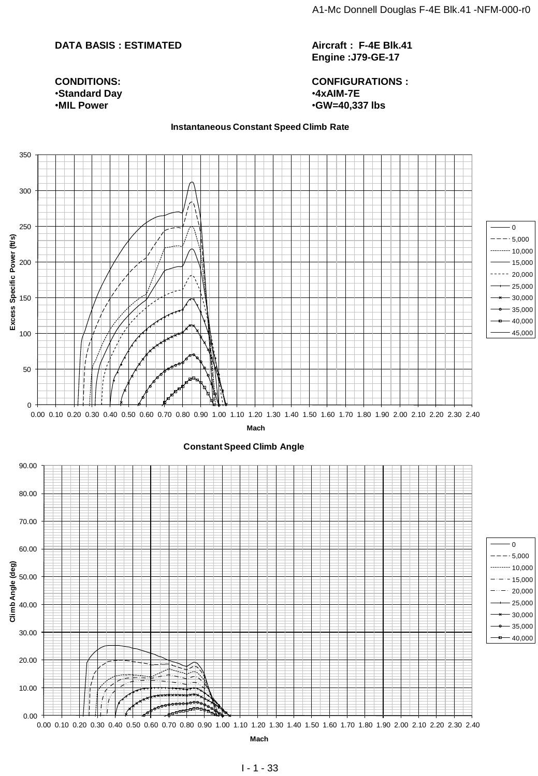#### **DATA BASIS : ESTIMATED**

**Aircraft : F-4E Blk.41 Engine :J79-GE-17**

**CONFIGURATIONS :** •**4xAIM-7E** •**GW=40,337 lbs**

#### **Instantaneous Constant Speed Climb Rate**

![](_page_32_Figure_5.jpeg)

**CONDITIONS:** •**Standard Day** •**MIL Power**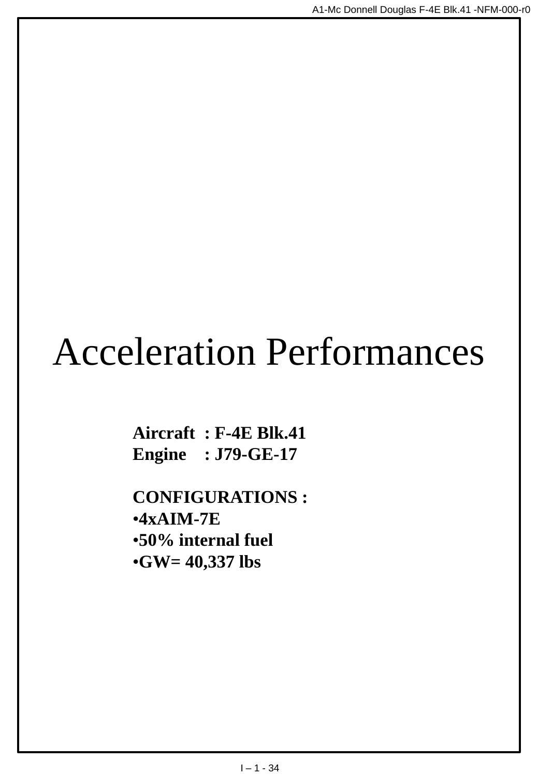## Acceleration Performances

**Aircraft : F-4E Blk.41 Engine : J79-GE-17**

**CONFIGURATIONS :** •**4xAIM-7E** •**50% internal fuel** •**GW= 40,337 lbs**